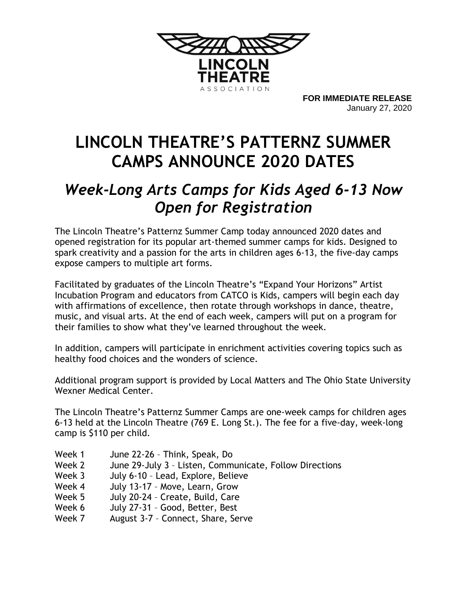

**FOR IMMEDIATE RELEASE** January 27, 2020

## **LINCOLN THEATRE'S PATTERNZ SUMMER CAMPS ANNOUNCE 2020 DATES**

## *Week-Long Arts Camps for Kids Aged 6-13 Now Open for Registration*

The Lincoln Theatre's Patternz Summer Camp today announced 2020 dates and opened registration for its popular art-themed summer camps for kids. Designed to spark creativity and a passion for the arts in children ages 6-13, the five-day camps expose campers to multiple art forms.

Facilitated by graduates of the Lincoln Theatre's "Expand Your Horizons" Artist Incubation Program and educators from CATCO is Kids, campers will begin each day with affirmations of excellence, then rotate through workshops in dance, theatre, music, and visual arts. At the end of each week, campers will put on a program for their families to show what they've learned throughout the week.

In addition, campers will participate in enrichment activities covering topics such as healthy food choices and the wonders of science.

Additional program support is provided by Local Matters and The Ohio State University Wexner Medical Center.

The Lincoln Theatre's Patternz Summer Camps are one-week camps for children ages 6-13 held at the Lincoln Theatre (769 E. Long St.). The fee for a five-day, week-long camp is \$110 per child.

| Week 1 | June 22-26 - Think, Speak, Do                           |
|--------|---------------------------------------------------------|
| Week 2 | June 29-July 3 - Listen, Communicate, Follow Directions |
| Week 3 | July 6-10 - Lead, Explore, Believe                      |
| Week 4 | July 13-17 - Move, Learn, Grow                          |
| Week 5 | July 20-24 - Create, Build, Care                        |
| Week 6 | July 27-31 - Good, Better, Best                         |
| Week 7 | August 3-7 - Connect, Share, Serve                      |